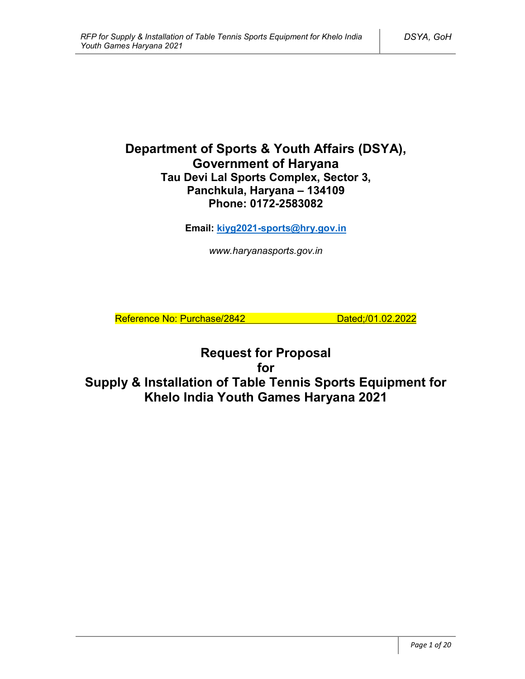# **Department of Sports & Youth Affairs (DSYA), Government of Haryana Tau Devi Lal Sports Complex, Sector 3, Panchkula, Haryana – 134109 Phone: 0172-2583082**

**Email: kiyg2021-sports@hry.gov.in**

*www.haryanasports.gov.in*

Reference No: Purchase/2842 Dated;/01.02.2022

**Request for Proposal for Supply & Installation of Table Tennis Sports Equipment for Khelo India Youth Games Haryana 2021**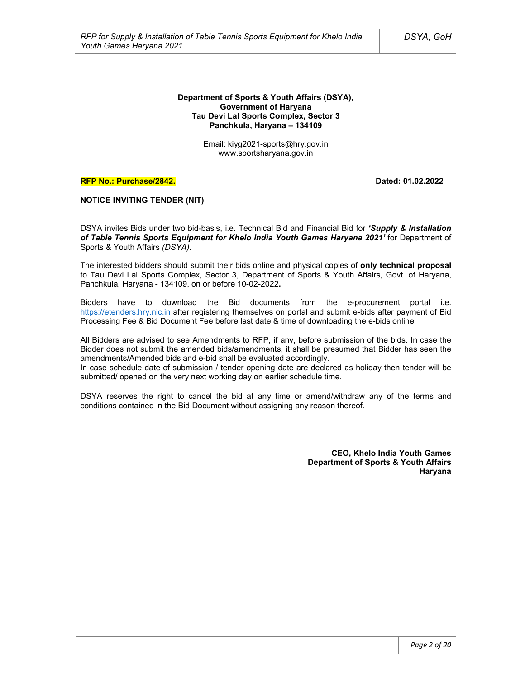#### **Department of Sports & Youth Affairs (DSYA), Government of Haryana Tau Devi Lal Sports Complex, Sector 3 Panchkula, Haryana – 134109**

Email: kiyg2021-sports@hry.gov.in www.sportsharyana.gov.in

#### **RFP No.: Purchase/2842. Dated: 01.02.2022**

### **NOTICE INVITING TENDER (NIT)**

DSYA invites Bids under two bid-basis, i.e. Technical Bid and Financial Bid for *'Supply & Installation of Table Tennis Sports Equipment for Khelo India Youth Games Haryana 2021'* for Department of Sports & Youth Affairs *(DSYA)*.

The interested bidders should submit their bids online and physical copies of **only technical proposal** to Tau Devi Lal Sports Complex, Sector 3, Department of Sports & Youth Affairs, Govt. of Haryana, Panchkula, Haryana - 134109, on or before 10-02-2022**.**

Bidders have to download the Bid documents from the e-procurement portal i.e. https://etenders.hry.nic.in after registering themselves on portal and submit e-bids after payment of Bid Processing Fee & Bid Document Fee before last date & time of downloading the e-bids online

All Bidders are advised to see Amendments to RFP, if any, before submission of the bids. In case the Bidder does not submit the amended bids/amendments, it shall be presumed that Bidder has seen the amendments/Amended bids and e-bid shall be evaluated accordingly.

In case schedule date of submission / tender opening date are declared as holiday then tender will be submitted/ opened on the very next working day on earlier schedule time.

DSYA reserves the right to cancel the bid at any time or amend/withdraw any of the terms and conditions contained in the Bid Document without assigning any reason thereof.

> **CEO, Khelo India Youth Games Department of Sports & Youth Affairs Haryana**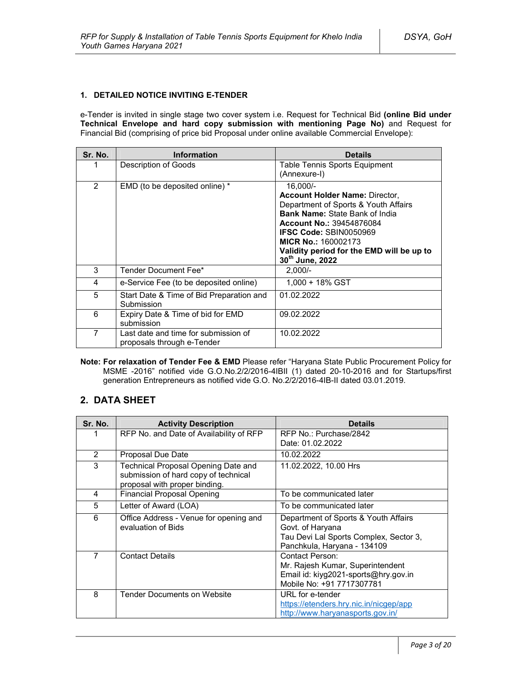## **1. DETAILED NOTICE INVITING E-TENDER**

e-Tender is invited in single stage two cover system i.e. Request for Technical Bid **(online Bid under Technical Envelope and hard copy submission with mentioning Page No)** and Request for Financial Bid (comprising of price bid Proposal under online available Commercial Envelope):

| Sr. No.        | Information                                                        | <b>Details</b>                                                                                                                                                                                                                                                                                                   |
|----------------|--------------------------------------------------------------------|------------------------------------------------------------------------------------------------------------------------------------------------------------------------------------------------------------------------------------------------------------------------------------------------------------------|
|                | Description of Goods                                               | Table Tennis Sports Equipment<br>(Annexure-I)                                                                                                                                                                                                                                                                    |
| $\overline{2}$ | EMD (to be deposited online) *                                     | 16,000/-<br><b>Account Holder Name: Director,</b><br>Department of Sports & Youth Affairs<br><b>Bank Name: State Bank of India</b><br><b>Account No.: 39454876084</b><br><b>IFSC Code: SBIN0050969</b><br><b>MICR No.: 160002173</b><br>Validity period for the EMD will be up to<br>30 <sup>th</sup> June, 2022 |
| 3              | Tender Document Fee*                                               | $2.000/-$                                                                                                                                                                                                                                                                                                        |
| 4              | e-Service Fee (to be deposited online)                             | 1,000 + 18% GST                                                                                                                                                                                                                                                                                                  |
| 5              | Start Date & Time of Bid Preparation and<br>Submission             | 01.02.2022                                                                                                                                                                                                                                                                                                       |
| 6              | Expiry Date & Time of bid for EMD<br>submission                    | 09.02.2022                                                                                                                                                                                                                                                                                                       |
| 7              | Last date and time for submission of<br>proposals through e-Tender | 10.02.2022                                                                                                                                                                                                                                                                                                       |

**Note: For relaxation of Tender Fee & EMD** Please refer "Haryana State Public Procurement Policy for MSME -2016" notified vide G.O.No.2/2/2016-4IBII (1) dated 20-10-2016 and for Startups/first generation Entrepreneurs as notified vide G.O. No.2/2/2016-4IB-II dated 03.01.2019.

## **2. DATA SHEET**

| Sr. No. | <b>Activity Description</b>                                                                                  | <b>Details</b>                                                                                                                    |
|---------|--------------------------------------------------------------------------------------------------------------|-----------------------------------------------------------------------------------------------------------------------------------|
|         | RFP No. and Date of Availability of RFP                                                                      | RFP No.: Purchase/2842<br>Date: 01.02.2022                                                                                        |
| 2       | Proposal Due Date                                                                                            | 10.02.2022                                                                                                                        |
| 3       | Technical Proposal Opening Date and<br>submission of hard copy of technical<br>proposal with proper binding. | 11.02.2022, 10.00 Hrs                                                                                                             |
| 4       | <b>Financial Proposal Opening</b>                                                                            | To be communicated later                                                                                                          |
| 5       | Letter of Award (LOA)                                                                                        | To be communicated later                                                                                                          |
| 6       | Office Address - Venue for opening and<br>evaluation of Bids                                                 | Department of Sports & Youth Affairs<br>Govt. of Haryana<br>Tau Devi Lal Sports Complex, Sector 3,<br>Panchkula, Haryana - 134109 |
| 7       | <b>Contact Details</b>                                                                                       | Contact Person:<br>Mr. Rajesh Kumar, Superintendent<br>Email id: kiyg2021-sports@hry.gov.in<br>Mobile No: +91 7717307781          |
| 8       | Tender Documents on Website                                                                                  | URL for e-tender<br>https://etenders.hry.nic.in/nicgep/app<br>http://www.haryanasports.gov.in/                                    |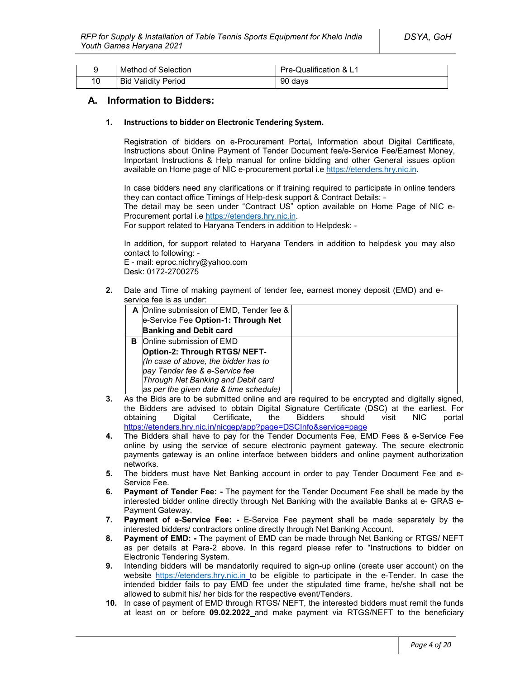|    | Method of Selection        | Pre-Qualification & L1 |
|----|----------------------------|------------------------|
| 10 | <b>Bid Validity Period</b> | 90 days                |

## **A. Information to Bidders:**

#### **1. Instructions to bidder on Electronic Tendering System.**

Registration of bidders on e-Procurement Portal**,** Information about Digital Certificate, Instructions about Online Payment of Tender Document fee/e-Service Fee/Earnest Money, Important Instructions & Help manual for online bidding and other General issues option available on Home page of NIC e-procurement portal i.e https://etenders.hry.nic.in.

In case bidders need any clarifications or if training required to participate in online tenders they can contact office Timings of Help-desk support & Contract Details: -

The detail may be seen under "Contract US" option available on Home Page of NIC e-Procurement portal i.e https://etenders.hry.nic.in.

For support related to Haryana Tenders in addition to Helpdesk: -

In addition, for support related to Haryana Tenders in addition to helpdesk you may also contact to following: -

E - mail: eproc.nichry@yahoo.com Desk: 0172-2700275

**2.** Date and Time of making payment of tender fee, earnest money deposit (EMD) and eservice fee is as under:

|   | A Online submission of EMD, Tender fee & |  |
|---|------------------------------------------|--|
|   | e-Service Fee Option-1: Through Net      |  |
|   | <b>Banking and Debit card</b>            |  |
| в | Online submission of EMD                 |  |
|   | Option-2: Through RTGS/ NEFT-            |  |
|   | (In case of above, the bidder has to     |  |
|   | pay Tender fee & e-Service fee           |  |
|   | Through Net Banking and Debit card       |  |
|   | as per the given date & time schedule)   |  |

- **3.** As the Bids are to be submitted online and are required to be encrypted and digitally signed, the Bidders are advised to obtain Digital Signature Certificate (DSC) at the earliest. For<br>obtaining Digital Certificate. the Bidders should visit NIC portal obtaining Digital Certificate, the Bidders should visit NIC portal https://etenders.hry.nic.in/nicgep/app?page=DSCInfo&service=page
- **4.** The Bidders shall have to pay for the Tender Documents Fee, EMD Fees & e-Service Fee online by using the service of secure electronic payment gateway. The secure electronic payments gateway is an online interface between bidders and online payment authorization networks.
- **5.** The bidders must have Net Banking account in order to pay Tender Document Fee and e-Service Fee.
- **6. Payment of Tender Fee: -** The payment for the Tender Document Fee shall be made by the interested bidder online directly through Net Banking with the available Banks at e- GRAS e-Payment Gateway.
- **7. Payment of e-Service Fee: -** E-Service Fee payment shall be made separately by the interested bidders/ contractors online directly through Net Banking Account.
- **8. Payment of EMD: -** The payment of EMD can be made through Net Banking or RTGS/ NEFT as per details at Para-2 above. In this regard please refer to "Instructions to bidder on Electronic Tendering System.
- **9.** Intending bidders will be mandatorily required to sign-up online (create user account) on the website https://etenders.hry.nic.in to be eligible to participate in the e-Tender. In case the intended bidder fails to pay EMD fee under the stipulated time frame, he/she shall not be allowed to submit his/ her bids for the respective event/Tenders.
- **10.** In case of payment of EMD through RTGS/ NEFT, the interested bidders must remit the funds at least on or before **09.02.2022** and make payment via RTGS/NEFT to the beneficiary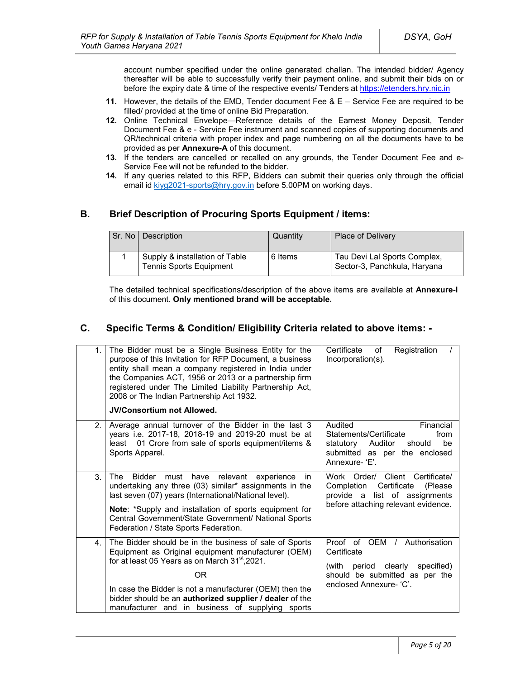account number specified under the online generated challan. The intended bidder/ Agency thereafter will be able to successfully verify their payment online, and submit their bids on or before the expiry date & time of the respective events/ Tenders at https://etenders.hry.nic.in

- **11.** However, the details of the EMD, Tender document Fee & E Service Fee are required to be filled/ provided at the time of online Bid Preparation.
- **12.** Online Technical Envelope—Reference details of the Earnest Money Deposit, Tender Document Fee & e - Service Fee instrument and scanned copies of supporting documents and QR/technical criteria with proper index and page numbering on all the documents have to be provided as per **Annexure-A** of this document.
- **13.** If the tenders are cancelled or recalled on any grounds, the Tender Document Fee and e-Service Fee will not be refunded to the bidder.
- **14.** If any queries related to this RFP, Bidders can submit their queries only through the official email id kiyg2021-sports@hry.gov.in before 5.00PM on working days.

## **B. Brief Description of Procuring Sports Equipment / items:**

| Sr. No   Description                                             | Quantity | <b>Place of Delivery</b>                                     |
|------------------------------------------------------------------|----------|--------------------------------------------------------------|
| Supply & installation of Table<br><b>Tennis Sports Equipment</b> | 6 Items  | Tau Devi Lal Sports Complex,<br>Sector-3, Panchkula, Haryana |

The detailed technical specifications/description of the above items are available at **Annexure-I** of this document. **Only mentioned brand will be acceptable.**

## **C. Specific Terms & Condition/ Eligibility Criteria related to above items: -**

| 1.             | The Bidder must be a Single Business Entity for the<br>purpose of this Invitation for RFP Document, a business<br>entity shall mean a company registered in India under<br>the Companies ACT, 1956 or 2013 or a partnership firm<br>registered under The Limited Liability Partnership Act,<br>2008 or The Indian Partnership Act 1932.                    | Certificate<br>Registration<br>of<br>Incorporation(s).                                                                                               |
|----------------|------------------------------------------------------------------------------------------------------------------------------------------------------------------------------------------------------------------------------------------------------------------------------------------------------------------------------------------------------------|------------------------------------------------------------------------------------------------------------------------------------------------------|
|                | <b>JV/Consortium not Allowed.</b>                                                                                                                                                                                                                                                                                                                          |                                                                                                                                                      |
| 2 <sub>1</sub> | Average annual turnover of the Bidder in the last 3<br>years i.e. 2017-18, 2018-19 and 2019-20 must be at<br>least 01 Crore from sale of sports equipment/items &<br>Sports Apparel.                                                                                                                                                                       | Audited<br>Financial<br>Statements/Certificate<br>from<br>statutory Auditor<br>should<br>be<br>submitted as per the enclosed<br>Annexure- 'E'.       |
| 3 <sub>1</sub> | Bidder must have relevant experience<br>The<br>in.<br>undertaking any three (03) similar* assignments in the<br>last seven (07) years (International/National level).<br>Note: *Supply and installation of sports equipment for<br>Central Government/State Government/ National Sports<br>Federation / State Sports Federation.                           | Work Order/ Client Certificate/<br>Certificate<br>Completion<br>(Please)<br>provide a list of assignments<br>before attaching relevant evidence.     |
| 4.             | The Bidder should be in the business of sale of Sports<br>Equipment as Original equipment manufacturer (OEM)<br>for at least 05 Years as on March 31 <sup>st</sup> , 2021.<br>0R<br>In case the Bidder is not a manufacturer (OEM) then the<br>bidder should be an authorized supplier / dealer of the<br>manufacturer and in business of supplying sports | Proof of OEM /<br>Authorisation<br>Certificate<br>(with<br>period clearly<br>specified)<br>should be submitted as per the<br>enclosed Annexure- 'C'. |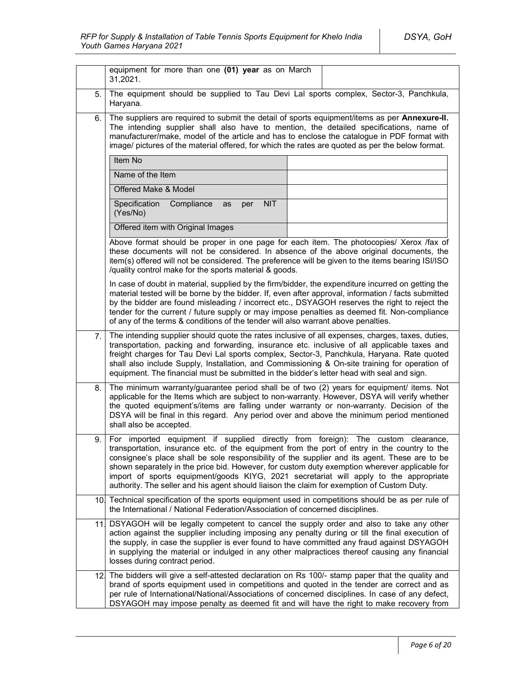|      | equipment for more than one (01) year as on March<br>31,2021.                                                                                                                                                                                                                                                                                                                                                                                                                                                                                                             |  |
|------|---------------------------------------------------------------------------------------------------------------------------------------------------------------------------------------------------------------------------------------------------------------------------------------------------------------------------------------------------------------------------------------------------------------------------------------------------------------------------------------------------------------------------------------------------------------------------|--|
| 5.   | The equipment should be supplied to Tau Devi Lal sports complex, Sector-3, Panchkula,<br>Haryana.                                                                                                                                                                                                                                                                                                                                                                                                                                                                         |  |
| 6.   | The suppliers are required to submit the detail of sports equipment/items as per Annexure-II.<br>The intending supplier shall also have to mention, the detailed specifications, name of<br>manufacturer/make, model of the article and has to enclose the catalogue in PDF format with<br>image/ pictures of the material offered, for which the rates are quoted as per the below format.                                                                                                                                                                               |  |
|      | Item No                                                                                                                                                                                                                                                                                                                                                                                                                                                                                                                                                                   |  |
|      | Name of the Item                                                                                                                                                                                                                                                                                                                                                                                                                                                                                                                                                          |  |
|      | Offered Make & Model                                                                                                                                                                                                                                                                                                                                                                                                                                                                                                                                                      |  |
|      | Specification<br>Compliance<br><b>NIT</b><br>as<br>per<br>(Yes/No)                                                                                                                                                                                                                                                                                                                                                                                                                                                                                                        |  |
|      | Offered item with Original Images                                                                                                                                                                                                                                                                                                                                                                                                                                                                                                                                         |  |
|      | Above format should be proper in one page for each item. The photocopies/ Xerox /fax of<br>these documents will not be considered. In absence of the above original documents, the<br>item(s) offered will not be considered. The preference will be given to the items bearing ISI/ISO<br>/quality control make for the sports material & goods.                                                                                                                                                                                                                         |  |
|      | In case of doubt in material, supplied by the firm/bidder, the expenditure incurred on getting the<br>material tested will be borne by the bidder. If, even after approval, information / facts submitted<br>by the bidder are found misleading / incorrect etc., DSYAGOH reserves the right to reject the<br>tender for the current / future supply or may impose penalties as deemed fit. Non-compliance<br>of any of the terms & conditions of the tender will also warrant above penalties.                                                                           |  |
| 7.   | The intending supplier should quote the rates inclusive of all expenses, charges, taxes, duties,<br>transportation, packing and forwarding, insurance etc. inclusive of all applicable taxes and<br>freight charges for Tau Devi Lal sports complex, Sector-3, Panchkula, Haryana. Rate quoted<br>shall also include Supply, Installation, and Commissioning & On-site training for operation of<br>equipment. The financial must be submitted in the bidder's letter head with seal and sign.                                                                            |  |
| 8.   | The minimum warranty/guarantee period shall be of two (2) years for equipment/ items. Not<br>applicable for the Items which are subject to non-warranty. However, DSYA will verify whether<br>the quoted equipment's/items are falling under warranty or non-warranty. Decision of the<br>DSYA will be final in this regard. Any period over and above the minimum period mentioned<br>shall also be accepted.                                                                                                                                                            |  |
| 9.   | For imported equipment if supplied directly from foreign): The custom clearance,<br>transportation, insurance etc. of the equipment from the port of entry in the country to the<br>consignee's place shall be sole responsibility of the supplier and its agent. These are to be<br>shown separately in the price bid. However, for custom duty exemption wherever applicable for<br>import of sports equipment/goods KIYG, 2021 secretariat will apply to the appropriate<br>authority. The seller and his agent should liaison the claim for exemption of Custom Duty. |  |
|      | 10 Technical specification of the sports equipment used in competitions should be as per rule of<br>the International / National Federation/Association of concerned disciplines.                                                                                                                                                                                                                                                                                                                                                                                         |  |
| 11 I | DSYAGOH will be legally competent to cancel the supply order and also to take any other<br>action against the supplier including imposing any penalty during or till the final execution of<br>the supply, in case the supplier is ever found to have committed any fraud against DSYAGOH<br>in supplying the material or indulged in any other malpractices thereof causing any financial<br>losses during contract period.                                                                                                                                              |  |
|      | 12. The bidders will give a self-attested declaration on Rs 100/- stamp paper that the quality and<br>brand of sports equipment used in competitions and quoted in the tender are correct and as<br>per rule of International/National/Associations of concerned disciplines. In case of any defect,<br>DSYAGOH may impose penalty as deemed fit and will have the right to make recovery from                                                                                                                                                                            |  |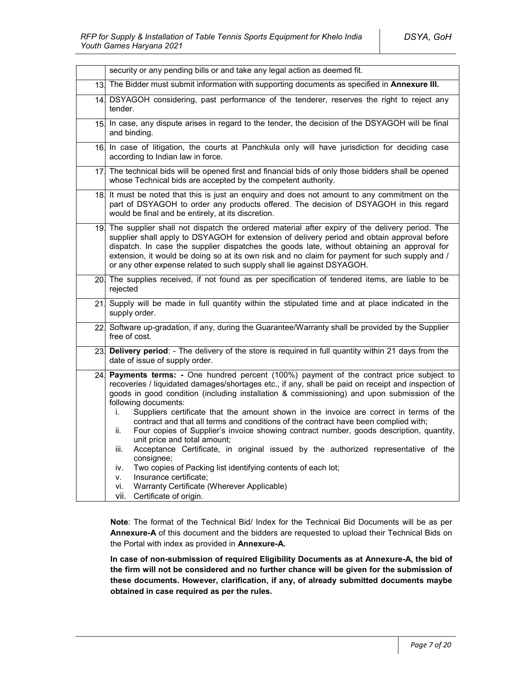|                 | security or any pending bills or and take any legal action as deemed fit.                                                                                                                                                                                                                                                                                                                                                                                                                                                                                                                                                                                                                                                                                                                                                                                                                                                                             |
|-----------------|-------------------------------------------------------------------------------------------------------------------------------------------------------------------------------------------------------------------------------------------------------------------------------------------------------------------------------------------------------------------------------------------------------------------------------------------------------------------------------------------------------------------------------------------------------------------------------------------------------------------------------------------------------------------------------------------------------------------------------------------------------------------------------------------------------------------------------------------------------------------------------------------------------------------------------------------------------|
|                 | 13. The Bidder must submit information with supporting documents as specified in Annexure III.                                                                                                                                                                                                                                                                                                                                                                                                                                                                                                                                                                                                                                                                                                                                                                                                                                                        |
| 14.             | DSYAGOH considering, past performance of the tenderer, reserves the right to reject any<br>tender.                                                                                                                                                                                                                                                                                                                                                                                                                                                                                                                                                                                                                                                                                                                                                                                                                                                    |
| 15.             | In case, any dispute arises in regard to the tender, the decision of the DSYAGOH will be final<br>and binding.                                                                                                                                                                                                                                                                                                                                                                                                                                                                                                                                                                                                                                                                                                                                                                                                                                        |
|                 | 16 In case of litigation, the courts at Panchkula only will have jurisdiction for deciding case<br>according to Indian law in force.                                                                                                                                                                                                                                                                                                                                                                                                                                                                                                                                                                                                                                                                                                                                                                                                                  |
| 17 <sub>1</sub> | The technical bids will be opened first and financial bids of only those bidders shall be opened<br>whose Technical bids are accepted by the competent authority.                                                                                                                                                                                                                                                                                                                                                                                                                                                                                                                                                                                                                                                                                                                                                                                     |
|                 | 18. It must be noted that this is just an enquiry and does not amount to any commitment on the<br>part of DSYAGOH to order any products offered. The decision of DSYAGOH in this regard<br>would be final and be entirely, at its discretion.                                                                                                                                                                                                                                                                                                                                                                                                                                                                                                                                                                                                                                                                                                         |
|                 | 19. The supplier shall not dispatch the ordered material after expiry of the delivery period. The<br>supplier shall apply to DSYAGOH for extension of delivery period and obtain approval before<br>dispatch. In case the supplier dispatches the goods late, without obtaining an approval for<br>extension, it would be doing so at its own risk and no claim for payment for such supply and /<br>or any other expense related to such supply shall lie against DSYAGOH.                                                                                                                                                                                                                                                                                                                                                                                                                                                                           |
|                 | 20. The supplies received, if not found as per specification of tendered items, are liable to be<br>rejected                                                                                                                                                                                                                                                                                                                                                                                                                                                                                                                                                                                                                                                                                                                                                                                                                                          |
| 21.             | Supply will be made in full quantity within the stipulated time and at place indicated in the<br>supply order.                                                                                                                                                                                                                                                                                                                                                                                                                                                                                                                                                                                                                                                                                                                                                                                                                                        |
| 22.             | Software up-gradation, if any, during the Guarantee/Warranty shall be provided by the Supplier<br>free of cost.                                                                                                                                                                                                                                                                                                                                                                                                                                                                                                                                                                                                                                                                                                                                                                                                                                       |
| 23.             | Delivery period: - The delivery of the store is required in full quantity within 21 days from the<br>date of issue of supply order.                                                                                                                                                                                                                                                                                                                                                                                                                                                                                                                                                                                                                                                                                                                                                                                                                   |
| 24 <sub>1</sub> | Payments terms: - One hundred percent (100%) payment of the contract price subject to<br>recoveries / liquidated damages/shortages etc., if any, shall be paid on receipt and inspection of<br>goods in good condition (including installation & commissioning) and upon submission of the<br>following documents:<br>Suppliers certificate that the amount shown in the invoice are correct in terms of the<br>i.<br>contract and that all terms and conditions of the contract have been complied with;<br>Four copies of Supplier's invoice showing contract number, goods description, quantity,<br>ii.<br>unit price and total amount;<br>Acceptance Certificate, in original issued by the authorized representative of the<br>iii.<br>consignee;<br>Two copies of Packing list identifying contents of each lot;<br>iv.<br>Insurance certificate:<br>v.<br>Warranty Certificate (Wherever Applicable)<br>vi.<br>Certificate of origin.<br>vii. |

**Note**: The format of the Technical Bid/ Index for the Technical Bid Documents will be as per **Annexure-A** of this document and the bidders are requested to upload their Technical Bids on the Portal with index as provided in **Annexure-A.**

**In case of non-submission of required Eligibility Documents as at Annexure-A, the bid of the firm will not be considered and no further chance will be given for the submission of these documents. However, clarification, if any, of already submitted documents maybe obtained in case required as per the rules.**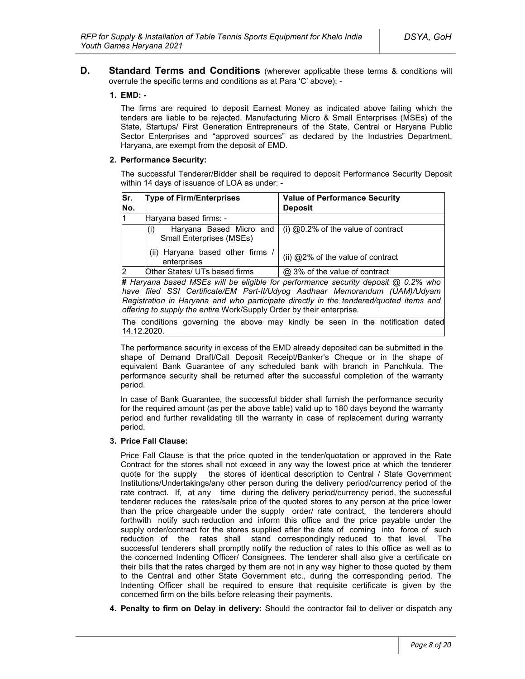**D. Standard Terms and Conditions** (wherever applicable these terms & conditions will overrule the specific terms and conditions as at Para 'C' above): -

#### **1. EMD: -**

The firms are required to deposit Earnest Money as indicated above failing which the tenders are liable to be rejected. Manufacturing Micro & Small Enterprises (MSEs) of the State, Startups/ First Generation Entrepreneurs of the State, Central or Haryana Public Sector Enterprises and "approved sources" as declared by the Industries Department, Haryana, are exempt from the deposit of EMD.

#### **2. Performance Security:**

The successful Tenderer/Bidder shall be required to deposit Performance Security Deposit within 14 days of issuance of LOA as under: -

| Sr.<br>No.     | <b>Type of Firm/Enterprises</b>                                                     | <b>Value of Performance Security</b><br><b>Deposit</b> |  |
|----------------|-------------------------------------------------------------------------------------|--------------------------------------------------------|--|
| l1             | Haryana based firms: -                                                              |                                                        |  |
|                | Haryana Based Micro and<br>(i)<br><b>Small Enterprises (MSEs)</b>                   | $(i)$ @0.2% of the value of contract                   |  |
|                | (ii) Haryana based other firms<br>enterprises                                       | (ii) @2% of the value of contract                      |  |
| $\overline{2}$ | Other States/ UTs based firms                                                       | @ 3% of the value of contract                          |  |
|                | # Harvana hased MSEs will be eligible for performance security deposit @ 0.2% who l |                                                        |  |

**#** *Haryana based MSEs will be eligible for performance security deposit @ 0.2% who have filed SSI Certificate/EM Part-II/Udyog Aadhaar Memorandum (UAM)/Udyam Registration in Haryana and who participate directly in the tendered/quoted items and offering to supply the entire* Work/Supply Order by their enterprise*.*

The conditions governing the above may kindly be seen in the notification dated 14.12.2020.

The performance security in excess of the EMD already deposited can be submitted in the shape of Demand Draft/Call Deposit Receipt/Banker's Cheque or in the shape of equivalent Bank Guarantee of any scheduled bank with branch in Panchkula. The performance security shall be returned after the successful completion of the warranty period.

In case of Bank Guarantee, the successful bidder shall furnish the performance security for the required amount (as per the above table) valid up to 180 days beyond the warranty period and further revalidating till the warranty in case of replacement during warranty period.

#### **3. Price Fall Clause:**

Price Fall Clause is that the price quoted in the tender/quotation or approved in the Rate Contract for the stores shall not exceed in any way the lowest price at which the tenderer quote for the supply the stores of identical description to Central / State Government Institutions/Undertakings/any other person during the delivery period/currency period of the rate contract. If, at any time during the delivery period/currency period, the successful tenderer reduces the rates/sale price of the quoted stores to any person at the price lower than the price chargeable under the supply order/ rate contract, the tenderers should forthwith notify such reduction and inform this office and the price payable under the supply order/contract for the stores supplied after the date of coming into force of such reduction of the rates shall stand correspondingly reduced to that level. The successful tenderers shall promptly notify the reduction of rates to this office as well as to the concerned Indenting Officer/ Consignees. The tenderer shall also give a certificate on their bills that the rates charged by them are not in any way higher to those quoted by them to the Central and other State Government etc., during the corresponding period. The Indenting Officer shall be required to ensure that requisite certificate is given by the concerned firm on the bills before releasing their payments.

**4. Penalty to firm on Delay in delivery:** Should the contractor fail to deliver or dispatch any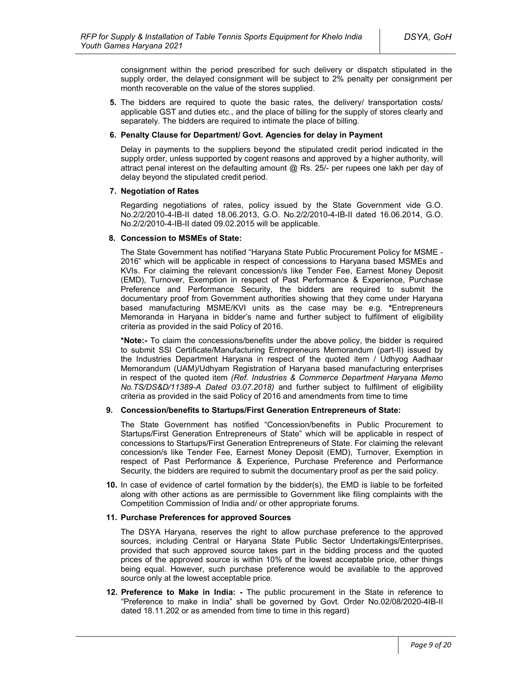consignment within the period prescribed for such delivery or dispatch stipulated in the supply order, the delayed consignment will be subject to 2% penalty per consignment per month recoverable on the value of the stores supplied.

**5.** The bidders are required to quote the basic rates, the delivery/ transportation costs/ applicable GST and duties etc., and the place of billing for the supply of stores clearly and separately. The bidders are required to intimate the place of billing.

#### **6. Penalty Clause for Department/ Govt. Agencies for delay in Payment**

Delay in payments to the suppliers beyond the stipulated credit period indicated in the supply order, unless supported by cogent reasons and approved by a higher authority, will attract penal interest on the defaulting amount  $@$  Rs. 25/- per rupees one lakh per day of delay beyond the stipulated credit period.

#### **7. Negotiation of Rates**

Regarding negotiations of rates, policy issued by the State Government vide G.O. No.2/2/2010-4-IB-II dated 18.06.2013, G.O. No.2/2/2010-4-IB-II dated 16.06.2014, G.O. No.2/2/2010-4-IB-II dated 09.02.2015 will be applicable.

#### **8. Concession to MSMEs of State:**

The State Government has notified "Haryana State Public Procurement Policy for MSME - 2016" which will be applicable in respect of concessions to Haryana based MSMEs and KVIs. For claiming the relevant concession/s like Tender Fee, Earnest Money Deposit (EMD), Turnover, Exemption in respect of Past Performance & Experience, Purchase Preference and Performance Security, the bidders are required to submit the documentary proof from Government authorities showing that they come under Haryana based manufacturing MSME/KVI units as the case may be e.g. **\***Entrepreneurs Memoranda in Haryana in bidder's name and further subject to fulfilment of eligibility criteria as provided in the said Policy of 2016.

**\*Note:-** To claim the concessions/benefits under the above policy, the bidder is required to submit SSI Certificate/Manufacturing Entrepreneurs Memorandum (part-II) issued by the Industries Department Haryana in respect of the quoted item / Udhyog Aadhaar Memorandum (UAM)/Udhyam Registration of Haryana based manufacturing enterprises in respect of the quoted item *(Ref. Industries & Commerce Department Haryana Memo No.TS/DS&D/11389-A Dated 03.07.2018)* and further subject to fulfilment of eligibility criteria as provided in the said Policy of 2016 and amendments from time to time

#### **9. Concession/benefits to Startups/First Generation Entrepreneurs of State:**

The State Government has notified "Concession/benefits in Public Procurement to Startups/First Generation Entrepreneurs of State" which will be applicable in respect of concessions to Startups/First Generation Entrepreneurs of State. For claiming the relevant concession/s like Tender Fee, Earnest Money Deposit (EMD), Turnover, Exemption in respect of Past Performance & Experience, Purchase Preference and Performance Security, the bidders are required to submit the documentary proof as per the said policy.

**10.** In case of evidence of cartel formation by the bidder(s), the EMD is liable to be forfeited along with other actions as are permissible to Government like filing complaints with the Competition Commission of India and/ or other appropriate forums.

#### **11. Purchase Preferences for approved Sources**

The DSYA Haryana, reserves the right to allow purchase preference to the approved sources, including Central or Haryana State Public Sector Undertakings/Enterprises, provided that such approved source takes part in the bidding process and the quoted prices of the approved source is within 10% of the lowest acceptable price, other things being equal. However, such purchase preference would be available to the approved source only at the lowest acceptable price.

**12. Preference to Make in India: -** The public procurement in the State in reference to "Preference to make in India" shall be governed by Govt. Order No.02/08/2020-4IB-II dated 18.11.202 or as amended from time to time in this regard)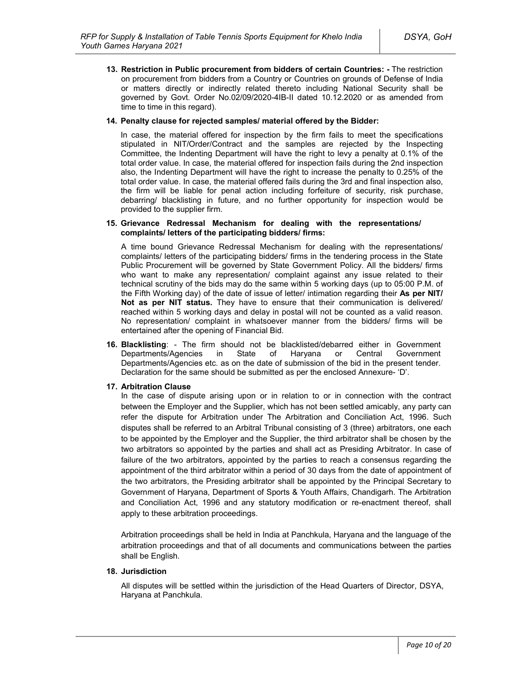**13. Restriction in Public procurement from bidders of certain Countries: -** The restriction on procurement from bidders from a Country or Countries on grounds of Defense of India or matters directly or indirectly related thereto including National Security shall be governed by Govt. Order No.02/09/2020-4IB-II dated 10.12.2020 or as amended from time to time in this regard).

#### **14. Penalty clause for rejected samples/ material offered by the Bidder:**

In case, the material offered for inspection by the firm fails to meet the specifications stipulated in NIT/Order/Contract and the samples are rejected by the Inspecting Committee, the Indenting Department will have the right to levy a penalty at 0.1% of the total order value. In case, the material offered for inspection fails during the 2nd inspection also, the Indenting Department will have the right to increase the penalty to 0.25% of the total order value. In case, the material offered fails during the 3rd and final inspection also, the firm will be liable for penal action including forfeiture of security, risk purchase, debarring/ blacklisting in future, and no further opportunity for inspection would be provided to the supplier firm.

#### **15. Grievance Redressal Mechanism for dealing with the representations/ complaints/ letters of the participating bidders/ firms:**

A time bound Grievance Redressal Mechanism for dealing with the representations/ complaints/ letters of the participating bidders/ firms in the tendering process in the State Public Procurement will be governed by State Government Policy. All the bidders/ firms who want to make any representation/ complaint against any issue related to their technical scrutiny of the bids may do the same within 5 working days (up to 05:00 P.M. of the Fifth Working day) of the date of issue of letter/ intimation regarding their **As per NIT/ Not as per NIT status.** They have to ensure that their communication is delivered/ reached within 5 working days and delay in postal will not be counted as a valid reason. No representation/ complaint in whatsoever manner from the bidders/ firms will be entertained after the opening of Financial Bid.

**16. Blacklisting**: - The firm should not be blacklisted/debarred either in Government Departments/Agencies in State of Haryana or Central Government Departments/Agencies etc. as on the date of submission of the bid in the present tender. Declaration for the same should be submitted as per the enclosed Annexure- 'D'.

### **17. Arbitration Clause**

In the case of dispute arising upon or in relation to or in connection with the contract between the Employer and the Supplier, which has not been settled amicably, any party can refer the dispute for Arbitration under The Arbitration and Conciliation Act, 1996. Such disputes shall be referred to an Arbitral Tribunal consisting of 3 (three) arbitrators, one each to be appointed by the Employer and the Supplier, the third arbitrator shall be chosen by the two arbitrators so appointed by the parties and shall act as Presiding Arbitrator. In case of failure of the two arbitrators, appointed by the parties to reach a consensus regarding the appointment of the third arbitrator within a period of 30 days from the date of appointment of the two arbitrators, the Presiding arbitrator shall be appointed by the Principal Secretary to Government of Haryana, Department of Sports & Youth Affairs, Chandigarh. The Arbitration and Conciliation Act, 1996 and any statutory modification or re-enactment thereof, shall apply to these arbitration proceedings.

Arbitration proceedings shall be held in India at Panchkula, Haryana and the language of the arbitration proceedings and that of all documents and communications between the parties shall be English.

### **18. Jurisdiction**

All disputes will be settled within the jurisdiction of the Head Quarters of Director, DSYA, Haryana at Panchkula.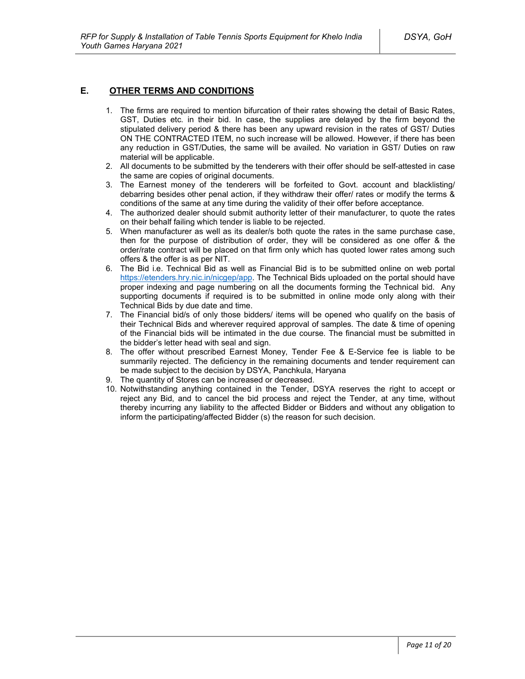## **E. OTHER TERMS AND CONDITIONS**

- 1. The firms are required to mention bifurcation of their rates showing the detail of Basic Rates, GST, Duties etc. in their bid. In case, the supplies are delayed by the firm beyond the stipulated delivery period & there has been any upward revision in the rates of GST/ Duties ON THE CONTRACTED ITEM, no such increase will be allowed. However, if there has been any reduction in GST/Duties, the same will be availed. No variation in GST/ Duties on raw material will be applicable.
- 2. All documents to be submitted by the tenderers with their offer should be self-attested in case the same are copies of original documents.
- 3. The Earnest money of the tenderers will be forfeited to Govt. account and blacklisting/ debarring besides other penal action, if they withdraw their offer/ rates or modify the terms & conditions of the same at any time during the validity of their offer before acceptance.
- 4. The authorized dealer should submit authority letter of their manufacturer, to quote the rates on their behalf failing which tender is liable to be rejected.
- 5. When manufacturer as well as its dealer/s both quote the rates in the same purchase case, then for the purpose of distribution of order, they will be considered as one offer & the order/rate contract will be placed on that firm only which has quoted lower rates among such offers & the offer is as per NIT.
- 6. The Bid i.e. Technical Bid as well as Financial Bid is to be submitted online on web portal https://etenders.hry.nic.in/nicgep/app. The Technical Bids uploaded on the portal should have proper indexing and page numbering on all the documents forming the Technical bid. Any supporting documents if required is to be submitted in online mode only along with their Technical Bids by due date and time.
- 7. The Financial bid/s of only those bidders/ items will be opened who qualify on the basis of their Technical Bids and wherever required approval of samples. The date & time of opening of the Financial bids will be intimated in the due course. The financial must be submitted in the bidder's letter head with seal and sign.
- 8. The offer without prescribed Earnest Money, Tender Fee & E-Service fee is liable to be summarily rejected. The deficiency in the remaining documents and tender requirement can be made subject to the decision by DSYA, Panchkula, Haryana
- 9. The quantity of Stores can be increased or decreased.
- 10. Notwithstanding anything contained in the Tender, DSYA reserves the right to accept or reject any Bid, and to cancel the bid process and reject the Tender, at any time, without thereby incurring any liability to the affected Bidder or Bidders and without any obligation to inform the participating/affected Bidder (s) the reason for such decision.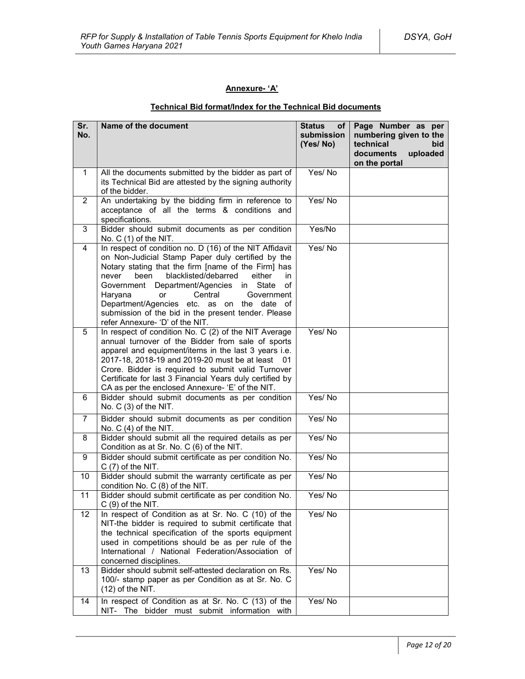## **Annexure- 'A'**

## **Technical Bid format/Index for the Technical Bid documents**

| Sr.<br>No.     | Name of the document                                                                                                                                                                                                                                                                                                                                                                                                                                                  | <b>Status</b><br>of l<br>submission<br>(Yes/No) | Page Number as per<br>numbering given to the<br>technical<br>bid<br>uploaded<br>documents<br>on the portal |
|----------------|-----------------------------------------------------------------------------------------------------------------------------------------------------------------------------------------------------------------------------------------------------------------------------------------------------------------------------------------------------------------------------------------------------------------------------------------------------------------------|-------------------------------------------------|------------------------------------------------------------------------------------------------------------|
| 1.             | All the documents submitted by the bidder as part of<br>its Technical Bid are attested by the signing authority<br>of the bidder.                                                                                                                                                                                                                                                                                                                                     | Yes/No                                          |                                                                                                            |
| $\overline{2}$ | An undertaking by the bidding firm in reference to<br>acceptance of all the terms & conditions and<br>specifications.                                                                                                                                                                                                                                                                                                                                                 | Yes/No                                          |                                                                                                            |
| 3              | Bidder should submit documents as per condition<br>No. $C(1)$ of the NIT.                                                                                                                                                                                                                                                                                                                                                                                             | Yes/No                                          |                                                                                                            |
| 4              | In respect of condition no. D (16) of the NIT Affidavit<br>on Non-Judicial Stamp Paper duly certified by the<br>Notary stating that the firm [name of the Firm] has<br>blacklisted/debarred<br>been<br>either<br>in<br>never<br>Department/Agencies<br>in State<br>Government<br>οf<br>Central<br>Haryana<br>or<br>Government<br>Department/Agencies etc. as on the date of<br>submission of the bid in the present tender. Please<br>refer Annexure- 'D' of the NIT. | Yes/No                                          |                                                                                                            |
| 5              | In respect of condition No. C (2) of the NIT Average<br>annual turnover of the Bidder from sale of sports<br>apparel and equipment/items in the last 3 years i.e.<br>2017-18, 2018-19 and 2019-20 must be at least 01<br>Crore. Bidder is required to submit valid Turnover<br>Certificate for last 3 Financial Years duly certified by<br>CA as per the enclosed Annexure- 'E' of the NIT.                                                                           | Yes/No                                          |                                                                                                            |
| 6              | Bidder should submit documents as per condition<br>No. C (3) of the NIT.                                                                                                                                                                                                                                                                                                                                                                                              | Yes/No                                          |                                                                                                            |
| $\overline{7}$ | Bidder should submit documents as per condition<br>No. $C(4)$ of the NIT.                                                                                                                                                                                                                                                                                                                                                                                             | Yes/No                                          |                                                                                                            |
| 8              | Bidder should submit all the required details as per<br>Condition as at Sr. No. C (6) of the NIT.                                                                                                                                                                                                                                                                                                                                                                     | Yes/No                                          |                                                                                                            |
| 9              | Bidder should submit certificate as per condition No.<br>$C(7)$ of the NIT.                                                                                                                                                                                                                                                                                                                                                                                           | Yes/No                                          |                                                                                                            |
| 10             | Bidder should submit the warranty certificate as per<br>condition No. C (8) of the NIT.                                                                                                                                                                                                                                                                                                                                                                               | Yes/No                                          |                                                                                                            |
| 11             | Bidder should submit certificate as per condition No.<br>$C(9)$ of the NIT.                                                                                                                                                                                                                                                                                                                                                                                           | Yes/No                                          |                                                                                                            |
| 12             | In respect of Condition as at Sr. No. C (10) of the<br>NIT-the bidder is required to submit certificate that<br>the technical specification of the sports equipment<br>used in competitions should be as per rule of the<br>International / National Federation/Association of<br>concerned disciplines.                                                                                                                                                              | Yes/No                                          |                                                                                                            |
| 13             | Bidder should submit self-attested declaration on Rs.<br>100/- stamp paper as per Condition as at Sr. No. C<br>$(12)$ of the NIT.                                                                                                                                                                                                                                                                                                                                     | Yes/No                                          |                                                                                                            |
| 14             | In respect of Condition as at Sr. No. C (13) of the<br>NIT- The bidder must submit information with                                                                                                                                                                                                                                                                                                                                                                   | Yes/No                                          |                                                                                                            |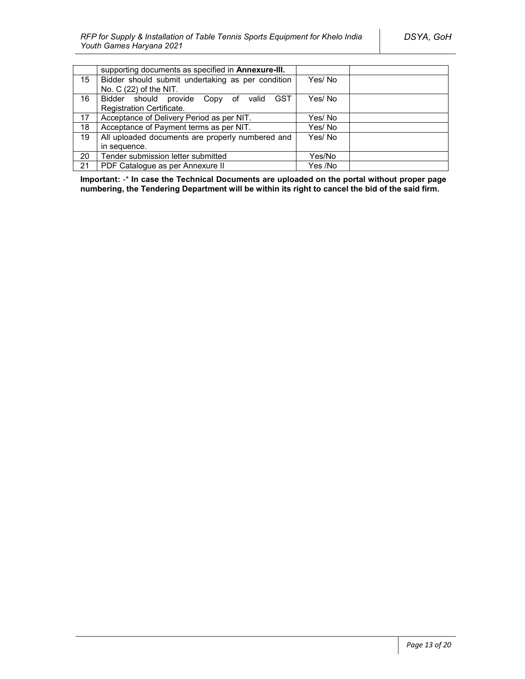|    | supporting documents as specified in <b>Annexure-III.</b> |         |  |
|----|-----------------------------------------------------------|---------|--|
| 15 | Bidder should submit undertaking as per condition         | Yes/ No |  |
|    | No. C (22) of the NIT.                                    |         |  |
| 16 | <b>GST</b><br>Bidder should provide Copy of<br>valid      | Yes/ No |  |
|    | Registration Certificate.                                 |         |  |
| 17 | Acceptance of Delivery Period as per NIT.                 | Yes/ No |  |
| 18 | Acceptance of Payment terms as per NIT.                   | Yes/No  |  |
| 19 | All uploaded documents are properly numbered and          | Yes/No  |  |
|    | in sequence.                                              |         |  |
| 20 | Tender submission letter submitted                        | Yes/No  |  |
| 21 | PDF Catalogue as per Annexure II                          | Yes /No |  |

**Important:** -\* **In case the Technical Documents are uploaded on the portal without proper page numbering, the Tendering Department will be within its right to cancel the bid of the said firm.**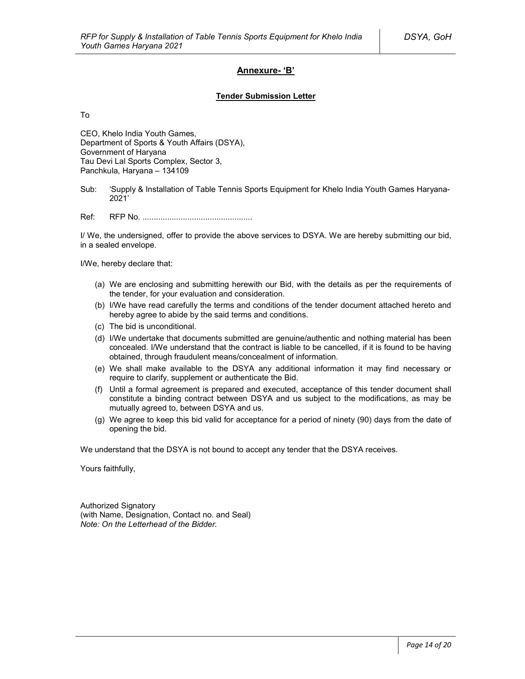## **Annexure- 'B'**

#### **Tender Submission Letter**

To

CEO, Khelo India Youth Games, Department of Sports & Youth Affairs (DSYA), Government of Haryana Tau Devi Lal Sports Complex, Sector 3, Panchkula, Haryana – 134109

Sub: 'Supply & Installation of Table Tennis Sports Equipment for Khelo India Youth Games Haryana-2021'

Ref: RFP No. .................................................

I/ We, the undersigned, offer to provide the above services to DSYA. We are hereby submitting our bid, in a sealed envelope.

I/We, hereby declare that:

- (a) We are enclosing and submitting herewith our Bid, with the details as per the requirements of the tender, for your evaluation and consideration.
- (b) I/We have read carefully the terms and conditions of the tender document attached hereto and hereby agree to abide by the said terms and conditions.
- (c) The bid is unconditional.
- (d) I/We undertake that documents submitted are genuine/authentic and nothing material has been concealed. I/We understand that the contract is liable to be cancelled, if it is found to be having obtained, through fraudulent means/concealment of information.
- (e) We shall make available to the DSYA any additional information it may find necessary or require to clarify, supplement or authenticate the Bid.
- (f) Until a formal agreement is prepared and executed, acceptance of this tender document shall constitute a binding contract between DSYA and us subject to the modifications, as may be mutually agreed to, between DSYA and us.
- (g) We agree to keep this bid valid for acceptance for a period of ninety (90) days from the date of opening the bid.

We understand that the DSYA is not bound to accept any tender that the DSYA receives.

Yours faithfully,

Authorized Signatory (with Name, Designation, Contact no. and Seal) *Note: On the Letterhead of the Bidder.*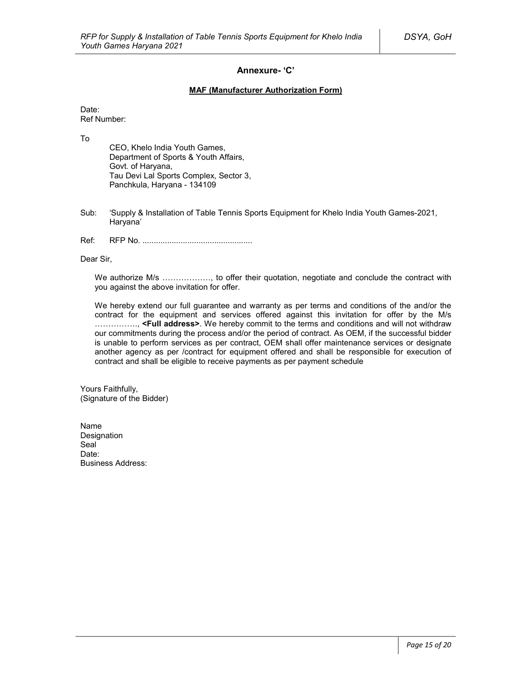### **Annexure- 'C'**

#### **MAF (Manufacturer Authorization Form)**

Date: Ref Number:

To

CEO, Khelo India Youth Games, Department of Sports & Youth Affairs, Govt. of Haryana, Tau Devi Lal Sports Complex, Sector 3, Panchkula, Haryana - 134109

- Sub: 'Supply & Installation of Table Tennis Sports Equipment for Khelo India Youth Games-2021, Haryana'
- Ref: RFP No. .................................................

Dear Sir,

We authorize M/s ................., to offer their quotation, negotiate and conclude the contract with you against the above invitation for offer.

We hereby extend our full guarantee and warranty as per terms and conditions of the and/or the contract for the equipment and services offered against this invitation for offer by the M/s ……………., **<Full address>**. We hereby commit to the terms and conditions and will not withdraw our commitments during the process and/or the period of contract. As OEM, if the successful bidder is unable to perform services as per contract, OEM shall offer maintenance services or designate another agency as per /contract for equipment offered and shall be responsible for execution of contract and shall be eligible to receive payments as per payment schedule

Yours Faithfully, (Signature of the Bidder)

Name Designation Seal<sup>1</sup> Date: Business Address: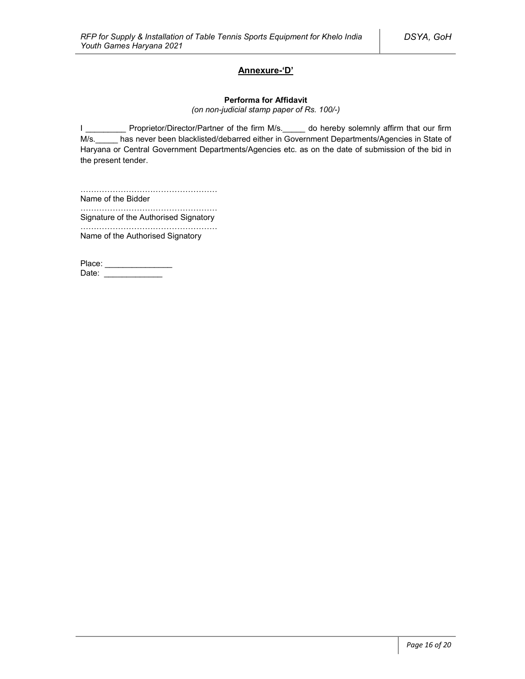## **Annexure-'D'**

#### **Performa for Affidavit**

*(on non-judicial stamp paper of Rs. 100/-)*

I \_\_\_\_\_\_\_\_\_\_ Proprietor/Director/Partner of the firm M/s. \_\_\_\_\_ do hereby solemnly affirm that our firm M/s. has never been blacklisted/debarred either in Government Departments/Agencies in State of Haryana or Central Government Departments/Agencies etc. as on the date of submission of the bid in the present tender.

…………………………………………… Name of the Bidder

…………………………………………………… Signature of the Authorised Signatory

…………………………………………… Name of the Authorised Signatory

Place: \_\_\_\_\_\_\_\_\_\_\_\_\_\_\_\_\_ Date: \_\_\_\_\_\_\_\_\_\_\_\_\_\_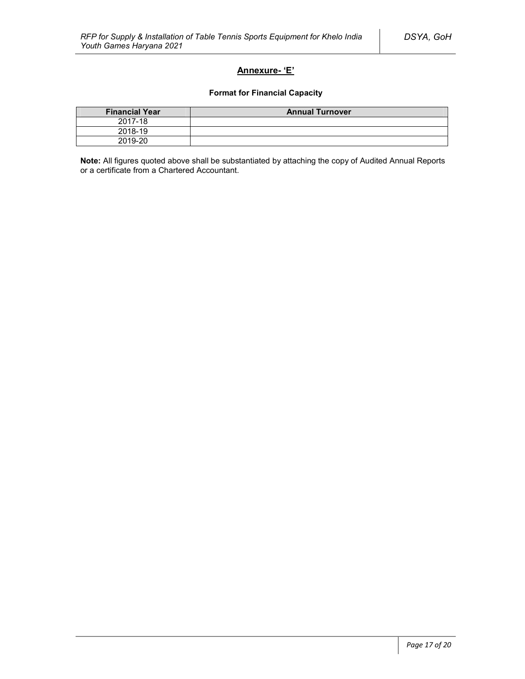## **Annexure- 'E'**

#### **Format for Financial Capacity**

| <b>Financial Year</b> | <b>Annual Turnover</b> |
|-----------------------|------------------------|
| 2017-18               |                        |
| 2018-19               |                        |
| 2019-20               |                        |

**Note:** All figures quoted above shall be substantiated by attaching the copy of Audited Annual Reports or a certificate from a Chartered Accountant.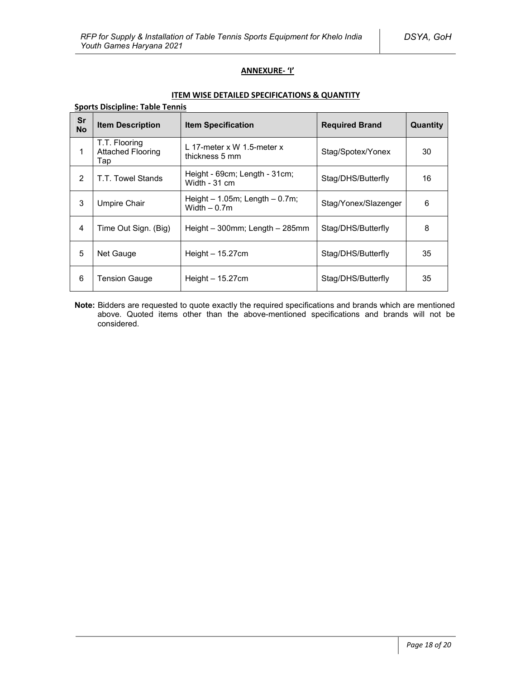## **ANNEXURE- 'I'**

### **ITEM WISE DETAILED SPECIFICATIONS & QUANTITY**

| <b>Sports Discipline: Table Tennis</b> |                                                  |                                                     |                       |          |  |  |  |  |
|----------------------------------------|--------------------------------------------------|-----------------------------------------------------|-----------------------|----------|--|--|--|--|
| <b>Sr</b><br><b>No</b>                 | <b>Item Description</b>                          | <b>Item Specification</b>                           | <b>Required Brand</b> | Quantity |  |  |  |  |
| 1                                      | T.T. Flooring<br><b>Attached Flooring</b><br>Tap | L 17-meter x W 1.5-meter x<br>thickness 5 mm        | Stag/Spotex/Yonex     | 30       |  |  |  |  |
| $\overline{2}$                         | T.T. Towel Stands                                | Height - 69cm; Length - 31cm;<br>Width - 31 cm      | Stag/DHS/Butterfly    | 16       |  |  |  |  |
| 3                                      | <b>Umpire Chair</b>                              | Height $-1.05m$ ; Length $-0.7m$ ;<br>Width $-0.7m$ | Stag/Yonex/Slazenger  | 6        |  |  |  |  |
| $\overline{4}$                         | Time Out Sign. (Big)                             | Height – 300mm; Length – 285mm                      | Stag/DHS/Butterfly    | 8        |  |  |  |  |
| 5                                      | Net Gauge                                        | Height $-15.27$ cm                                  | Stag/DHS/Butterfly    | 35       |  |  |  |  |
| 6                                      | Tension Gauge                                    | Height $-15.27$ cm                                  | Stag/DHS/Butterfly    | 35       |  |  |  |  |

**Note:** Bidders are requested to quote exactly the required specifications and brands which are mentioned above. Quoted items other than the above-mentioned specifications and brands will not be considered.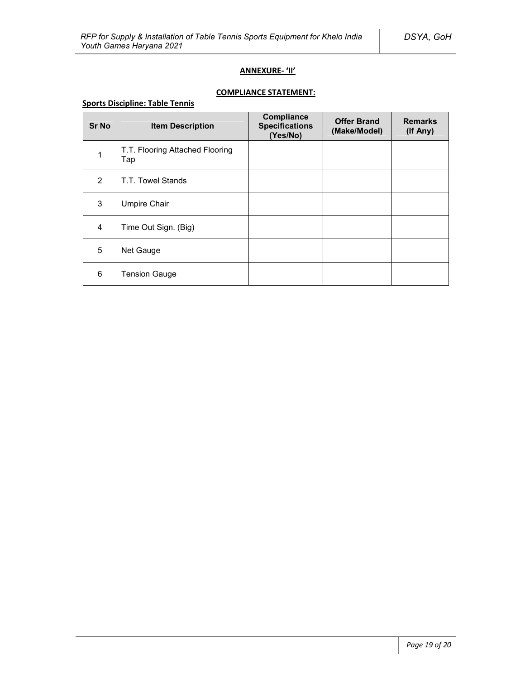## **ANNEXURE- 'II'**

# **COMPLIANCE STATEMENT:**

## **Sports Discipline: Table Tennis**

| <b>Sr No</b>   | <b>Item Description</b>                | Compliance<br><b>Specifications</b><br>(Yes/No) | <b>Offer Brand</b><br>(Make/Model) | <b>Remarks</b><br>(If Any) |
|----------------|----------------------------------------|-------------------------------------------------|------------------------------------|----------------------------|
| 1              | T.T. Flooring Attached Flooring<br>Tap |                                                 |                                    |                            |
| 2              | T.T. Towel Stands                      |                                                 |                                    |                            |
| 3              | <b>Umpire Chair</b>                    |                                                 |                                    |                            |
| $\overline{4}$ | Time Out Sign. (Big)                   |                                                 |                                    |                            |
| 5              | Net Gauge                              |                                                 |                                    |                            |
| 6              | <b>Tension Gauge</b>                   |                                                 |                                    |                            |